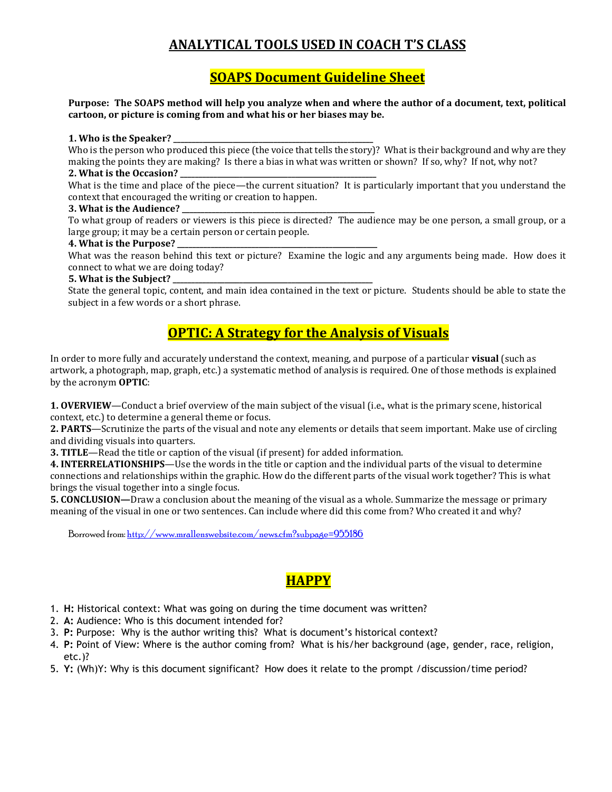# **ANALYTICAL TOOLS USED IN COACH T'S CLASS**

### **SOAPS Document Guideline Sheet**

**Purpose: The SOAPS method will help you analyze when and where the author of a document, text, political cartoon, or picture is coming from and what his or her biases may be.**

#### **1. Who is the Speaker? \_\_\_\_\_\_\_\_\_\_\_\_\_\_\_\_\_\_\_\_\_\_\_\_\_\_\_\_\_\_\_\_\_\_\_\_\_\_\_\_\_\_\_\_\_\_\_\_\_\_\_\_\_\_**

Who is the person who produced this piece (the voice that tells the story)? What is their background and why are they making the points they are making? Is there a bias in what was written or shown? If so, why? If not, why not?

### **2. What is the Occasion? \_\_\_\_\_\_\_\_\_\_\_\_\_\_\_\_\_\_\_\_\_\_\_\_\_\_\_\_\_\_\_\_\_\_\_\_\_\_\_\_\_\_\_\_\_\_\_\_\_\_\_\_\_**

What is the time and place of the piece—the current situation? It is particularly important that you understand the context that encouraged the writing or creation to happen.

### **3. What is the Audience? \_\_\_\_\_\_\_\_\_\_\_\_\_\_\_\_\_\_\_\_\_\_\_\_\_\_\_\_\_\_\_\_\_\_\_\_\_\_\_\_\_\_\_\_\_\_\_\_\_\_\_\_**

To what group of readers or viewers is this piece is directed? The audience may be one person, a small group, or a large group; it may be a certain person or certain people.

### **4. What is the Purpose? \_\_\_\_\_\_\_\_\_\_\_\_\_\_\_\_\_\_\_\_\_\_\_\_\_\_\_\_\_\_\_\_\_\_\_\_\_\_\_\_\_\_\_\_\_\_\_\_\_\_\_\_\_\_**

What was the reason behind this text or picture? Examine the logic and any arguments being made. How does it connect to what we are doing today?

### **5. What is the Subject? \_\_\_\_\_\_\_\_\_\_\_\_\_\_\_\_\_\_\_\_\_\_\_\_\_\_\_\_\_\_\_\_\_\_\_\_\_\_\_\_\_\_\_\_\_\_\_\_\_\_\_\_\_\_**

State the general topic, content, and main idea contained in the text or picture. Students should be able to state the subject in a few words or a short phrase.

# **OPTIC: A Strategy for the Analysis of Visuals**

In order to more fully and accurately understand the context, meaning, and purpose of a particular **visual** (such as artwork, a photograph, map, graph, etc.) a systematic method of analysis is required. One of those methods is explained by the acronym **OPTIC**:

**1. OVERVIEW**—Conduct a brief overview of the main subject of the visual (i.e., what is the primary scene, historical context, etc.) to determine a general theme or focus.

**2. PARTS**—Scrutinize the parts of the visual and note any elements or details that seem important. Make use of circling and dividing visuals into quarters.

**3. TITLE**—Read the title or caption of the visual (if present) for added information.

**4. INTERRELATIONSHIPS**—Use the words in the title or caption and the individual parts of the visual to determine connections and relationships within the graphic. How do the different parts of the visual work together? This is what brings the visual together into a single focus.

**5. CONCLUSION—**Draw a conclusion about the meaning of the visual as a whole. Summarize the message or primary meaning of the visual in one or two sentences. Can include where did this come from? Who created it and why?

Borrowed from[: http://www.mrallenswebsite.com/news.cfm?subpage=955186](http://www.mrallenswebsite.com/news.cfm?subpage=955186)

## **HAPPY**

- 1. **H:** Historical context: What was going on during the time document was written?
- 2. **A:** Audience: Who is this document intended for?
- 3. **P:** Purpose: Why is the author writing this? What is document's historical context?
- 4. **P:** Point of View: Where is the author coming from? What is his/her background (age, gender, race, religion, etc.)?
- 5. **Y:** (Wh)Y: Why is this document significant? How does it relate to the prompt /discussion/time period?